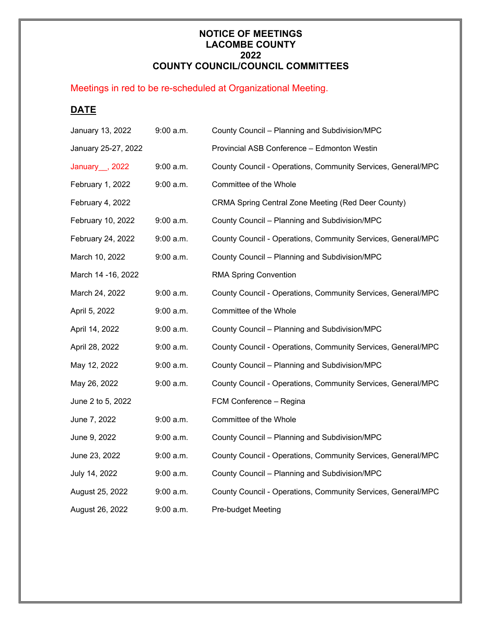## **NOTICE OF MEETINGS LACOMBE COUNTY 2022 COUNTY COUNCIL/COUNCIL COMMITTEES**

## Meetings in red to be re-scheduled at Organizational Meeting.

## **DATE**

| January 13, 2022          | 9:00 a.m.   | County Council - Planning and Subdivision/MPC                |
|---------------------------|-------------|--------------------------------------------------------------|
| January 25-27, 2022       |             | Provincial ASB Conference - Edmonton Westin                  |
| January <sub>, 2022</sub> | 9:00 a.m.   | County Council - Operations, Community Services, General/MPC |
| February 1, 2022          | $9:00$ a.m. | Committee of the Whole                                       |
| February 4, 2022          |             | CRMA Spring Central Zone Meeting (Red Deer County)           |
| February 10, 2022         | 9:00 a.m.   | County Council - Planning and Subdivision/MPC                |
| February 24, 2022         | $9:00$ a.m. | County Council - Operations, Community Services, General/MPC |
| March 10, 2022            | $9:00$ a.m. | County Council - Planning and Subdivision/MPC                |
| March 14 - 16, 2022       |             | <b>RMA Spring Convention</b>                                 |
| March 24, 2022            | $9:00$ a.m. | County Council - Operations, Community Services, General/MPC |
| April 5, 2022             | $9:00$ a.m. | Committee of the Whole                                       |
| April 14, 2022            | $9:00$ a.m. | County Council - Planning and Subdivision/MPC                |
| April 28, 2022            | $9:00$ a.m. | County Council - Operations, Community Services, General/MPC |
| May 12, 2022              | $9:00$ a.m. | County Council - Planning and Subdivision/MPC                |
| May 26, 2022              | 9:00 a.m.   | County Council - Operations, Community Services, General/MPC |
| June 2 to 5, 2022         |             | FCM Conference - Regina                                      |
| June 7, 2022              | 9:00 a.m.   | Committee of the Whole                                       |
| June 9, 2022              | $9:00$ a.m. | County Council - Planning and Subdivision/MPC                |
| June 23, 2022             | 9:00 a.m.   | County Council - Operations, Community Services, General/MPC |
| July 14, 2022             | 9:00 a.m.   | County Council - Planning and Subdivision/MPC                |
| August 25, 2022           | $9:00$ a.m. | County Council - Operations, Community Services, General/MPC |
| August 26, 2022           | $9:00$ a.m. | <b>Pre-budget Meeting</b>                                    |